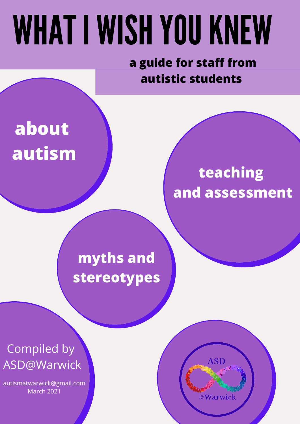# WHAT I WISH YOU KNEW

**a guide for staff from autistic students**

# **about autism**

### **teaching and assessment**

### **myths and stereotypes**

Compiled by ASD@Warwick

autismatwarwick@gmail.com March 2021

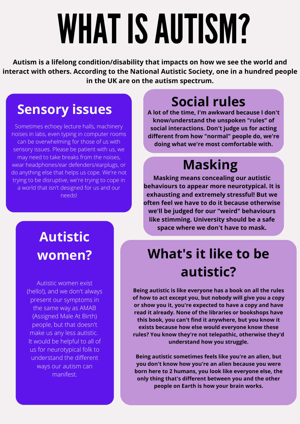# WHAT IS AUTISM?

**Autism is a lifelong condition/disability that impacts on how we see the world and interact with others. According to the National Autistic Society, one in a hundred people in the UK are on the autism spectrum.**

### **Sensory issues**

Sometimes echoey lecture halls, machinery noises in labs, even typing in computer rooms can be overwhelming for those of us with sensory issues. Please be patient with us, we may need to take breaks from the noises, wear headphones/ear defenders/earplugs, or do anything else that helps us cope. We're not trying to be disruptive, we're trying to cope in a world that isn't designed for us and our needs!

### **Social rules**

**A lot of the time, I'm awkward because I don't know/understand the unspoken "rules" of social interactions. Don't judge us for acting different from how "normal" people do, we're doing what we're most comfortable with.**

### **Masking**

**Masking means concealing our autistic behaviours to appear more neurotypical. It is exhausting and extremely stressful! But we often feel we have to do it because otherwise we'll be judged for our "weird" behaviours like stimming. University should be a safe space where we don't have to mask.**

### **What's it like to be autistic?**

**Being autistic is like everyone has a book on all the rules of how to act except you, but nobody will give you a copy or show you it, you're expected to have a copy and have read it already. None of the libraries or bookshops have this book, you can't find it anywhere, but you know it exists because how else would everyone know these rules? You know they're not telepathic, otherwise they'd understand how you struggle.**

**Being autistic sometimes feels like you're an alien, but you don't know how you're an alien because you were born here to 2 humans, you look like everyone else, the only thing that's different between you and the other people on Earth is how your brain works.**

### **Autistic women?**

Autistic women exist (hello!), and we don't always present our symptoms in the same way as AMAB (Assigned Male At Birth) people, but that doesn't make us any less autistic. It would be helpful to all of us for neurotypical folk to understand the different ways our autism can manifest.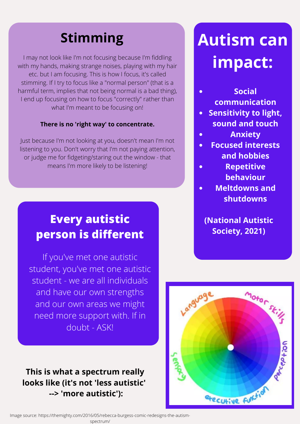### **Stimming**

I may not look like I'm not focusing because I'm fiddling with my hands, making strange noises, playing with my hair etc. but I am focusing. This is how I focus, it's called stimming. If I try to focus like a "normal person" (that is a harmful term, implies that not being normal is a bad thing), I end up focusing on how to focus "correctly" rather than what I'm meant to be focusing on!

#### **There is no 'right way' to concentrate.**

Just because I'm not looking at you, doesn't mean I'm not listening to you. Don't worry that I'm not paying attention, or judge me for fidgeting/staring out the window - that means I'm more likely to be listening!

### **Every autistic person is different**

If you've met one autistic student, you've met one autistic student - we are all individuals and have our own strengths and our own areas we might need more support with. If in doubt - ASK!

#### **This is what a spectrum really looks like (it's not 'less autistic' --> 'more autistic'):**

# **Autism can impact:**

- **Social communication**
- **Sensitivity to light, sound and touch**
- **Anxiety**
- **Focused interests**  $\bullet$ **and hobbies**
- **Repetitive behaviour**
- **Meltdowns and shutdowns**

**(National Autistic Society, 2021)**

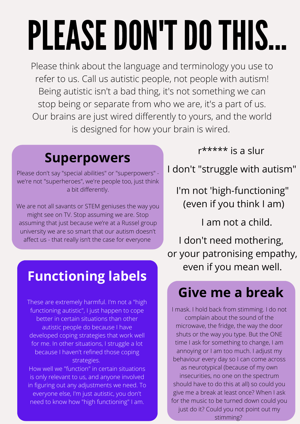# PLEASE DON'T DO THIS.

Please think about the language and terminology you use to refer to us. Call us autistic people, not people with autism! Being autistic isn't a bad thing, it's not something we can stop being or separate from who we are, it's a part of us. Our brains are just wired differently to yours, and the world is designed for how your brain is wired.

### **Superpowers**

Please don't say "special abilities" or "superpowers" we're not "superheroes", we're people too, just think a bit differently.

We are not all savants or STEM geniuses the way you might see on TV. Stop assuming we are. Stop assuming that just because we're at a Russel group university we are so smart that our autism doesn't affect us - that really isn't the case for everyone

### **Functioning labels**

These are extremely harmful. I'm not a "high functioning autistic", I just happen to cope better in certain situations than other autistic people do because I have developed coping strategies that work well for me. In other situations, I struggle a lot because I haven't refined those coping strategies.

How well we "function" in certain situations is only relevant to us, and anyone involved in figuring out any adjustments we need. To everyone else, I'm just autistic, you don't need to know how "high functioning" I am.

r\*\*\*\*\* is a slur

I don't "struggle with autism"

I'm not 'high-functioning" (even if you think I am)

I am not a child.

I don't need mothering, or your patronising empathy, even if you mean well.

### **Give me a break**

I mask. I hold back from stimming. I do not complain about the sound of the microwave, the fridge, the way the door shuts or the way you type. But the ONE time I ask for something to change, I am annoying or I am too much. I adjust my behaviour every day so I can come across as neurotypical (because of my own insecurities, no one on the spectrum should have to do this at all) so could you give me a break at least once? When I ask for the music to be turned down could you just do it? Could you not point out my stimming?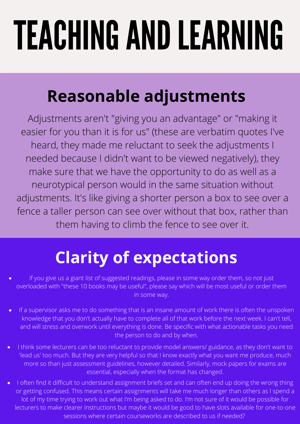# TEACHING AND LEARNING

# **Reasonable adjustments**

Adjustments aren't "giving you an advantage" or "making it easier for you than it is for us" (these are verbatim quotes I've heard, they made me reluctant to seek the adjustments I needed because I didn't want to be viewed negatively), they make sure that we have the opportunity to do as well as a neurotypical person would in the same situation without adjustments. It's like giving a shorter person a box to see over a fence a taller person can see over without that box, rather than them having to climb the fence to see over it.

# **Clarity of expectations**

- If you give us a giant list of suggested readings, please in some way order them, so not just overloaded with "these 10 books may be useful", please say which will be most useful or order them in some way.
- If a supervisor asks me to do something that is an insane amount of work there is often the unspoken  $\bullet$ knowledge that you don't actually have to complete all of that work before the next week. I can't tell, and will stress and overwork until everything is done. Be specific with what actionable tasks you need the person to do and by when.
- I think some lecturers can be too reluctant to provide model answers/ guidance, as they don't want to 'lead us' too much. But they are very helpful so that I know exactly what you want me produce, much more so than just assessment guidelines, however detailed. Similarly, mock papers for exams are essential, especially when the format has changed.
- I often find it difficult to understand assignment briefs set and can often end up doing the wrong thing or getting confused. This means certain assignments will take me much longer than others as I spend a lot of my time trying to work out what I'm being asked to do. I'm not sure of it would be possible for lecturers to make clearer instructions but maybe it would be good to have slots available for one-to-one sessions where certain courseworks are described to us if needed?